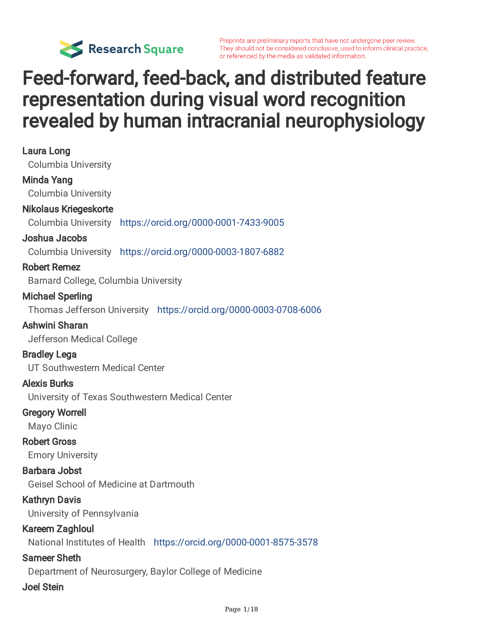

# Feed-forward, feed-back, and distributed feature representation during visual word recognition revealed by human intracranial neurophysiology

| Laura Long                                                          |
|---------------------------------------------------------------------|
| <b>Columbia University</b>                                          |
| <b>Minda Yang</b>                                                   |
| <b>Columbia University</b>                                          |
| <b>Nikolaus Kriegeskorte</b>                                        |
| Columbia University https://orcid.org/0000-0001-7433-9005           |
| Joshua Jacobs                                                       |
| Columbia University https://orcid.org/0000-0003-1807-6882           |
| <b>Robert Remez</b>                                                 |
| Barnard College, Columbia University                                |
| <b>Michael Sperling</b>                                             |
| Thomas Jefferson University https://orcid.org/0000-0003-0708-6006   |
| Ashwini Sharan                                                      |
| Jefferson Medical College                                           |
| <b>Bradley Lega</b>                                                 |
| UT Southwestern Medical Center                                      |
| <b>Alexis Burks</b>                                                 |
| University of Texas Southwestern Medical Center                     |
| <b>Gregory Worrell</b>                                              |
| Mayo Clinic                                                         |
| <b>Robert Gross</b>                                                 |
| <b>Emory University</b>                                             |
| <b>Barbara Jobst</b>                                                |
| <b>Geisel School of Medicine at Dartmouth</b>                       |
| <b>Kathryn Davis</b>                                                |
| University of Pennsylvania                                          |
| <b>Kareem Zaghloul</b>                                              |
| National Institutes of Health https://orcid.org/0000-0001-8575-3578 |
| <b>Sameer Sheth</b>                                                 |
| Department of Neurosurgery, Baylor College of Medicine              |
| <b>Joel Stein</b>                                                   |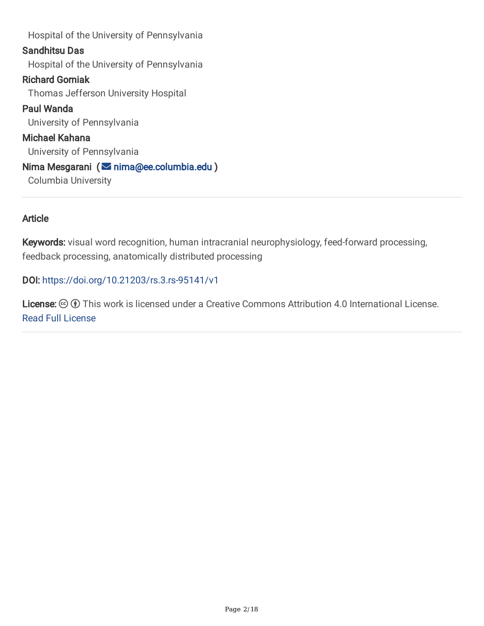Hospital of the University of Pennsylvania Sandhitsu Das Hospital of the University of Pennsylvania Richard Gorniak Thomas Jefferson University Hospital Paul Wanda University of Pennsylvania Michael Kahana University of Pennsylvania Nima Mesgarani (  $\blacksquare$  [nima@ee.columbia.edu](mailto:nima@ee.columbia.edu) ) Columbia University

#### **Article**

Keywords: visual word recognition, human intracranial neurophysiology, feed-forward processing, feedback processing, anatomically distributed processing

DOI: <https://doi.org/10.21203/rs.3.rs-95141/v1>

License:  $\odot$  (i) This work is licensed under a Creative Commons Attribution 4.0 International License. Read Full [License](https://creativecommons.org/licenses/by/4.0/)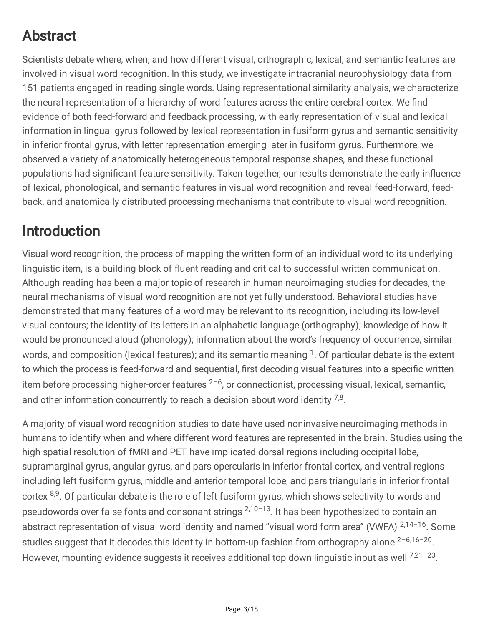# Abstract

Scientists debate where, when, and how different visual, orthographic, lexical, and semantic features are involved in visual word recognition. In this study, we investigate intracranial neurophysiology data from 151 patients engaged in reading single words. Using representational similarity analysis, we characterize the neural representation of a hierarchy of word features across the entire cerebral cortex. We find evidence of both feed-forward and feedback processing, with early representation of visual and lexical information in lingual gyrus followed by lexical representation in fusiform gyrus and semantic sensitivity in inferior frontal gyrus, with letter representation emerging later in fusiform gyrus. Furthermore, we observed a variety of anatomically heterogeneous temporal response shapes, and these functional populations had significant feature sensitivity. Taken together, our results demonstrate the early influence of lexical, phonological, and semantic features in visual word recognition and reveal feed-forward, feedback, and anatomically distributed processing mechanisms that contribute to visual word recognition.

# Introduction

Visual word recognition, the process of mapping the written form of an individual word to its underlying linguistic item, is a building block of fluent reading and critical to successful written communication. Although reading has been a major topic of research in human neuroimaging studies for decades, the neural mechanisms of visual word recognition are not yet fully understood. Behavioral studies have demonstrated that many features of a word may be relevant to its recognition, including its low-level visual contours; the identity of its letters in an alphabetic language (orthography); knowledge of how it would be pronounced aloud (phonology); information about the word's frequency of occurrence, similar words, and composition (lexical features); and its semantic meaning <sup>1</sup>. Of particular debate is the extent to which the process is feed-forward and sequential, first decoding visual features into a specific written item before processing higher-order features <sup>2–6</sup>, or connectionist, processing visual, lexical, semantic, and other information concurrently to reach a decision about word identity  $^{7,8}$ .

A majority of visual word recognition studies to date have used noninvasive neuroimaging methods in humans to identify when and where different word features are represented in the brain. Studies using the high spatial resolution of fMRI and PET have implicated dorsal regions including occipital lobe, supramarginal gyrus, angular gyrus, and pars opercularis in inferior frontal cortex, and ventral regions including left fusiform gyrus, middle and anterior temporal lobe, and pars triangularis in inferior frontal cortex <sup>8,9</sup>. Of particular debate is the role of left fusiform gyrus, which shows selectivity to words and pseudowords over false fonts and consonant strings <sup>2,10-13</sup>. It has been hypothesized to contain an abstract representation of visual word identity and named "visual word form area" (VWFA) <sup>2,14-16</sup>. Some studies suggest that it decodes this identity in bottom-up fashion from orthography alone <sup>2-6,16-20</sup>. However, mounting evidence suggests it receives additional top-down linguistic input as well <sup>7,21-23</sup>.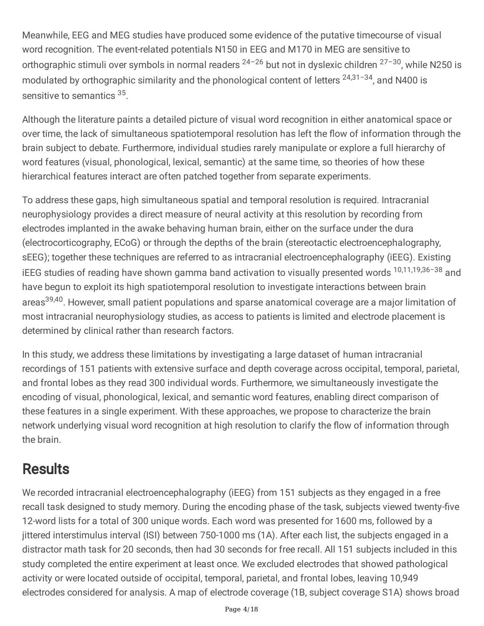Meanwhile, EEG and MEG studies have produced some evidence of the putative timecourse of visual word recognition. The event-related potentials N150 in EEG and M170 in MEG are sensitive to orthographic stimuli over symbols in normal readers <sup>24-26</sup> but not in dyslexic children <sup>27-30</sup>, while N250 is modulated by orthographic similarity and the phonological content of letters <sup>24,31-34</sup>, and N400 is sensitive to semantics 35.

Although the literature paints a detailed picture of visual word recognition in either anatomical space or over time, the lack of simultaneous spatiotemporal resolution has left the flow of information through the brain subject to debate. Furthermore, individual studies rarely manipulate or explore a full hierarchy of word features (visual, phonological, lexical, semantic) at the same time, so theories of how these hierarchical features interact are often patched together from separate experiments.

To address these gaps, high simultaneous spatial and temporal resolution is required. Intracranial neurophysiology provides a direct measure of neural activity at this resolution by recording from electrodes implanted in the awake behaving human brain, either on the surface under the dura (electrocorticography, ECoG) or through the depths of the brain (stereotactic electroencephalography, sEEG); together these techniques are referred to as intracranial electroencephalography (iEEG). Existing iEEG studies of reading have shown gamma band activation to visually presented words <sup>10,11,19,36-38</sup> and have begun to exploit its high spatiotemporal resolution to investigate interactions between brain areas<sup>39,40</sup>. However, small patient populations and sparse anatomical coverage are a major limitation of most intracranial neurophysiology studies, as access to patients is limited and electrode placement is determined by clinical rather than research factors.

In this study, we address these limitations by investigating a large dataset of human intracranial recordings of 151 patients with extensive surface and depth coverage across occipital, temporal, parietal, and frontal lobes as they read 300 individual words. Furthermore, we simultaneously investigate the encoding of visual, phonological, lexical, and semantic word features, enabling direct comparison of these features in a single experiment. With these approaches, we propose to characterize the brain network underlying visual word recognition at high resolution to clarify the flow of information through the brain.

# **Results**

We recorded intracranial electroencephalography (iEEG) from 151 subjects as they engaged in a free recall task designed to study memory. During the encoding phase of the task, subjects viewed twenty-five 12-word lists for a total of 300 unique words. Each word was presented for 1600 ms, followed by a jittered interstimulus interval (ISI) between 750-1000 ms (1A). After each list, the subjects engaged in a distractor math task for 20 seconds, then had 30 seconds for free recall. All 151 subjects included in this study completed the entire experiment at least once. We excluded electrodes that showed pathological activity or were located outside of occipital, temporal, parietal, and frontal lobes, leaving 10,949 electrodes considered for analysis. A map of electrode coverage (1B, subject coverage S1A) shows broad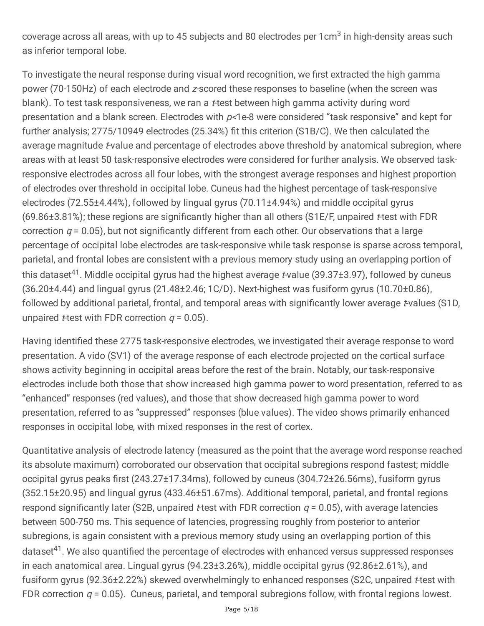coverage across all areas, with up to 45 subjects and 80 electrodes per 1cm $3$  in high-density areas such as inferior temporal lobe.

To investigate the neural response during visual word recognition, we first extracted the high gamma power (70-150Hz) of each electrode and <sup>z</sup>-scored these responses to baseline (when the screen was blank). To test task responsiveness, we ran a *t*-test between high gamma activity during word presentation and a blank screen. Electrodes with  $p$ <1e-8 were considered "task responsive" and kept for further analysis; 2775/10949 electrodes (25.34%) fit this criterion (S1B/C). We then calculated the average magnitude *t*-value and percentage of electrodes above threshold by anatomical subregion, where areas with at least 50 task-responsive electrodes were considered for further analysis. We observed taskresponsive electrodes across all four lobes, with the strongest average responses and highest proportion of electrodes over threshold in occipital lobe. Cuneus had the highest percentage of task-responsive electrodes (72.55±4.44%), followed by lingual gyrus (70.11±4.94%) and middle occipital gyrus  $(69.86±3.81%)$ ; these regions are significantly higher than all others (S1E/F, unpaired t-test with FDR correction  $q = 0.05$ ), but not significantly different from each other. Our observations that a large percentage of occipital lobe electrodes are task-responsive while task response is sparse across temporal, parietal, and frontal lobes are consistent with a previous memory study using an overlapping portion of this dataset<sup>41</sup>. Middle occipital gyrus had the highest average *t*-value (39.37±3.97), followed by cuneus  $(36.20\pm4.44)$  and lingual gyrus  $(21.48\pm2.46; 1C/D)$ . Next-highest was fusiform gyrus  $(10.70\pm0.86)$ . followed by additional parietal, frontal, and temporal areas with significantly lower average t-values (S1D, unpaired *t*-test with FDR correction  $q = 0.05$ ).

Having identified these 2775 task-responsive electrodes, we investigated their average response to word presentation. A vido (SV1) of the average response of each electrode projected on the cortical surface shows activity beginning in occipital areas before the rest of the brain. Notably, our task-responsive electrodes include both those that show increased high gamma power to word presentation, referred to as "enhanced" responses (red values), and those that show decreased high gamma power to word presentation, referred to as "suppressed" responses (blue values). The video shows primarily enhanced responses in occipital lobe, with mixed responses in the rest of cortex.

Quantitative analysis of electrode latency (measured as the point that the average word response reached its absolute maximum) corroborated our observation that occipital subregions respond fastest; middle occipital gyrus peaks first (243.27±17.34ms), followed by cuneus (304.72±26.56ms), fusiform gyrus (352.15±20.95) and lingual gyrus (433.46±51.67ms). Additional temporal, parietal, and frontal regions respond significantly later (S2B, unpaired *t*-test with FDR correction  $q = 0.05$ ), with average latencies between 500-750 ms. This sequence of latencies, progressing roughly from posterior to anterior subregions, is again consistent with a previous memory study using an overlapping portion of this dataset<sup>41</sup>. We also quantified the percentage of electrodes with enhanced versus suppressed responses in each anatomical area. Lingual gyrus (94.23±3.26%), middle occipital gyrus (92.86±2.61%), and fusiform gyrus (92.36±2.22%) skewed overwhelmingly to enhanced responses (S2C, unpaired t-test with FDR correction  $q = 0.05$ ). Cuneus, parietal, and temporal subregions follow, with frontal regions lowest.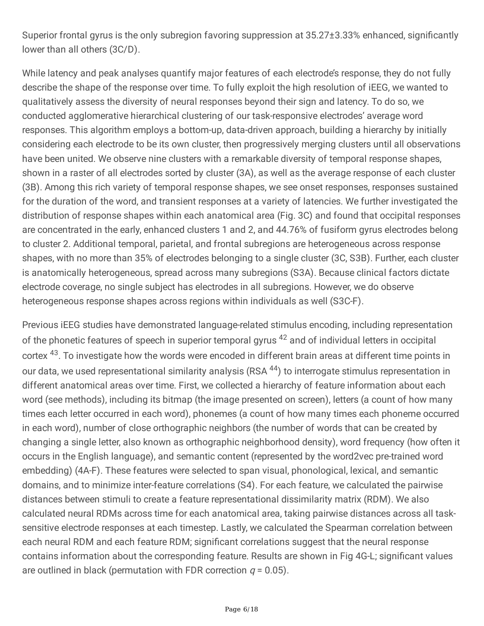Superior frontal gyrus is the only subregion favoring suppression at 35.27±3.33% enhanced, significantly lower than all others (3C/D).

While latency and peak analyses quantify major features of each electrode's response, they do not fully describe the shape of the response over time. To fully exploit the high resolution of iEEG, we wanted to qualitatively assess the diversity of neural responses beyond their sign and latency. To do so, we conducted agglomerative hierarchical clustering of our task-responsive electrodes' average word responses. This algorithm employs a bottom-up, data-driven approach, building a hierarchy by initially considering each electrode to be its own cluster, then progressively merging clusters until all observations have been united. We observe nine clusters with a remarkable diversity of temporal response shapes, shown in a raster of all electrodes sorted by cluster (3A), as well as the average response of each cluster (3B). Among this rich variety of temporal response shapes, we see onset responses, responses sustained for the duration of the word, and transient responses at a variety of latencies. We further investigated the distribution of response shapes within each anatomical area (Fig. 3C) and found that occipital responses are concentrated in the early, enhanced clusters 1 and 2, and 44.76% of fusiform gyrus electrodes belong to cluster 2. Additional temporal, parietal, and frontal subregions are heterogeneous across response shapes, with no more than 35% of electrodes belonging to a single cluster (3C, S3B). Further, each cluster is anatomically heterogeneous, spread across many subregions (S3A). Because clinical factors dictate electrode coverage, no single subject has electrodes in all subregions. However, we do observe heterogeneous response shapes across regions within individuals as well (S3C-F).

Previous iEEG studies have demonstrated language-related stimulus encoding, including representation of the phonetic features of speech in superior temporal gyrus <sup>42</sup> and of individual letters in occipital cortex <sup>43</sup>. To investigate how the words were encoded in different brain areas at different time points in our data, we used representational similarity analysis (RSA <sup>44</sup>) to interrogate stimulus representation in different anatomical areas over time. First, we collected a hierarchy of feature information about each word (see methods), including its bitmap (the image presented on screen), letters (a count of how many times each letter occurred in each word), phonemes (a count of how many times each phoneme occurred in each word), number of close orthographic neighbors (the number of words that can be created by changing a single letter, also known as orthographic neighborhood density), word frequency (how often it occurs in the English language), and semantic content (represented by the word2vec pre-trained word embedding) (4A-F). These features were selected to span visual, phonological, lexical, and semantic domains, and to minimize inter-feature correlations (S4). For each feature, we calculated the pairwise distances between stimuli to create a feature representational dissimilarity matrix (RDM). We also calculated neural RDMs across time for each anatomical area, taking pairwise distances across all tasksensitive electrode responses at each timestep. Lastly, we calculated the Spearman correlation between each neural RDM and each feature RDM; significant correlations suggest that the neural response contains information about the corresponding feature. Results are shown in Fig 4G-L; significant values are outlined in black (permutation with FDR correction  $q = 0.05$ ).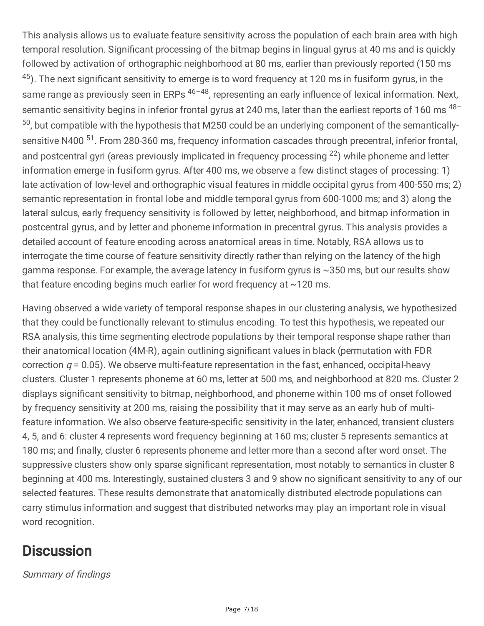This analysis allows us to evaluate feature sensitivity across the population of each brain area with high temporal resolution. Significant processing of the bitmap begins in lingual gyrus at 40 ms and is quickly followed by activation of orthographic neighborhood at 80 ms, earlier than previously reported (150 ms  $^{45}$ ). The next significant sensitivity to emerge is to word frequency at 120 ms in fusiform gyrus, in the same range as previously seen in ERPs <sup>46-48</sup>, representing an early influence of lexical information. Next, semantic sensitivity begins in inferior frontal gyrus at 240 ms, later than the earliest reports of 160 ms <sup>48-</sup> <sup>50</sup>, but compatible with the hypothesis that M250 could be an underlying component of the semanticallysensitive N400<sup>51</sup>. From 280-360 ms, frequency information cascades through precentral, inferior frontal, and postcentral gyri (areas previously implicated in frequency processing <sup>22</sup>) while phoneme and letter information emerge in fusiform gyrus. After 400 ms, we observe a few distinct stages of processing: 1) late activation of low-level and orthographic visual features in middle occipital gyrus from 400-550 ms; 2) semantic representation in frontal lobe and middle temporal gyrus from 600-1000 ms; and 3) along the lateral sulcus, early frequency sensitivity is followed by letter, neighborhood, and bitmap information in postcentral gyrus, and by letter and phoneme information in precentral gyrus. This analysis provides a detailed account of feature encoding across anatomical areas in time. Notably, RSA allows us to interrogate the time course of feature sensitivity directly rather than relying on the latency of the high gamma response. For example, the average latency in fusiform gyrus is ~350 ms, but our results show that feature encoding begins much earlier for word frequency at  $\sim$ 120 ms.

Having observed a wide variety of temporal response shapes in our clustering analysis, we hypothesized that they could be functionally relevant to stimulus encoding. To test this hypothesis, we repeated our RSA analysis, this time segmenting electrode populations by their temporal response shape rather than their anatomical location (4M-R), again outlining significant values in black (permutation with FDR correction  $q = 0.05$ ). We observe multi-feature representation in the fast, enhanced, occipital-heavy clusters. Cluster 1 represents phoneme at 60 ms, letter at 500 ms, and neighborhood at 820 ms. Cluster 2 displays significant sensitivity to bitmap, neighborhood, and phoneme within 100 ms of onset followed by frequency sensitivity at 200 ms, raising the possibility that it may serve as an early hub of multifeature information. We also observe feature-specific sensitivity in the later, enhanced, transient clusters 4, 5, and 6: cluster 4 represents word frequency beginning at 160 ms; cluster 5 represents semantics at 180 ms; and finally, cluster 6 represents phoneme and letter more than a second after word onset. The suppressive clusters show only sparse significant representation, most notably to semantics in cluster 8 beginning at 400 ms. Interestingly, sustained clusters 3 and 9 show no significant sensitivity to any of our selected features. These results demonstrate that anatomically distributed electrode populations can carry stimulus information and suggest that distributed networks may play an important role in visual word recognition.

# **Discussion**

Summary of findings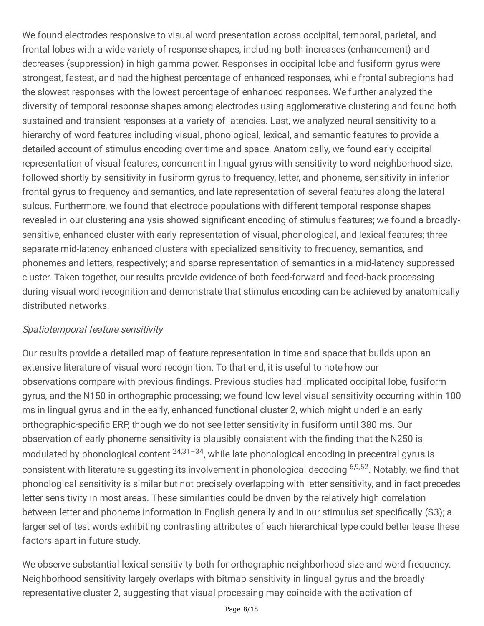We found electrodes responsive to visual word presentation across occipital, temporal, parietal, and frontal lobes with a wide variety of response shapes, including both increases (enhancement) and decreases (suppression) in high gamma power. Responses in occipital lobe and fusiform gyrus were strongest, fastest, and had the highest percentage of enhanced responses, while frontal subregions had the slowest responses with the lowest percentage of enhanced responses. We further analyzed the diversity of temporal response shapes among electrodes using agglomerative clustering and found both sustained and transient responses at a variety of latencies. Last, we analyzed neural sensitivity to a hierarchy of word features including visual, phonological, lexical, and semantic features to provide a detailed account of stimulus encoding over time and space. Anatomically, we found early occipital representation of visual features, concurrent in lingual gyrus with sensitivity to word neighborhood size, followed shortly by sensitivity in fusiform gyrus to frequency, letter, and phoneme, sensitivity in inferior frontal gyrus to frequency and semantics, and late representation of several features along the lateral sulcus. Furthermore, we found that electrode populations with different temporal response shapes revealed in our clustering analysis showed significant encoding of stimulus features; we found a broadlysensitive, enhanced cluster with early representation of visual, phonological, and lexical features; three separate mid-latency enhanced clusters with specialized sensitivity to frequency, semantics, and phonemes and letters, respectively; and sparse representation of semantics in a mid-latency suppressed cluster. Taken together, our results provide evidence of both feed-forward and feed-back processing during visual word recognition and demonstrate that stimulus encoding can be achieved by anatomically distributed networks.

### Spatiotemporal feature sensitivity

Our results provide a detailed map of feature representation in time and space that builds upon an extensive literature of visual word recognition. To that end, it is useful to note how our observations compare with previous findings. Previous studies had implicated occipital lobe, fusiform gyrus, and the N150 in orthographic processing; we found low-level visual sensitivity occurring within 100 ms in lingual gyrus and in the early, enhanced functional cluster 2, which might underlie an early orthographic-specific ERP, though we do not see letter sensitivity in fusiform until 380 ms. Our observation of early phoneme sensitivity is plausibly consistent with the finding that the N250 is modulated by phonological content <sup>24,31-34</sup>, while late phonological encoding in precentral gyrus is consistent with literature suggesting its involvement in phonological decoding <sup>6,9,52</sup>. Notably, we find that phonological sensitivity is similar but not precisely overlapping with letter sensitivity, and in fact precedes letter sensitivity in most areas. These similarities could be driven by the relatively high correlation between letter and phoneme information in English generally and in our stimulus set specifically (S3); a larger set of test words exhibiting contrasting attributes of each hierarchical type could better tease these factors apart in future study.

We observe substantial lexical sensitivity both for orthographic neighborhood size and word frequency. Neighborhood sensitivity largely overlaps with bitmap sensitivity in lingual gyrus and the broadly representative cluster 2, suggesting that visual processing may coincide with the activation of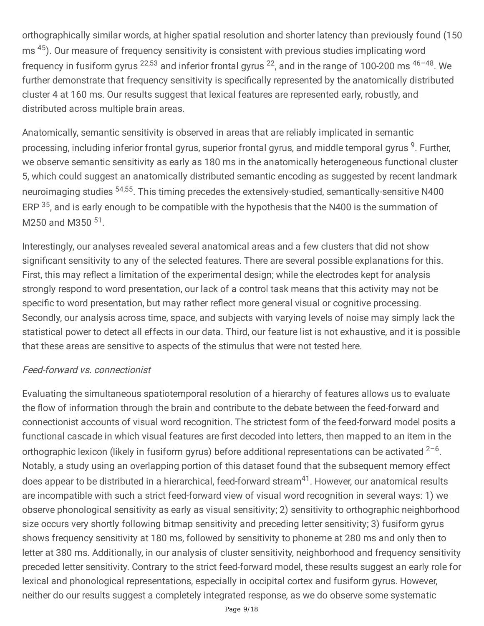orthographically similar words, at higher spatial resolution and shorter latency than previously found (150 ms <sup>45</sup>). Our measure of frequency sensitivity is consistent with previous studies implicating word frequency in fusiform gyrus <sup>22,53</sup> and inferior frontal gyrus <sup>22</sup>, and in the range of 100-200 ms <sup>46-48</sup>. We further demonstrate that frequency sensitivity is specifically represented by the anatomically distributed cluster 4 at 160 ms. Our results suggest that lexical features are represented early, robustly, and distributed across multiple brain areas.

Anatomically, semantic sensitivity is observed in areas that are reliably implicated in semantic processing, including inferior frontal gyrus, superior frontal gyrus, and middle temporal gyrus <sup>9</sup>. Further, we observe semantic sensitivity as early as 180 ms in the anatomically heterogeneous functional cluster 5, which could suggest an anatomically distributed semantic encoding as suggested by recent landmark neuroimaging studies <sup>54,55</sup>. This timing precedes the extensively-studied, semantically-sensitive N400 ERP <sup>35</sup>, and is early enough to be compatible with the hypothesis that the N400 is the summation of M250 and M350 <sup>51</sup>.

Interestingly, our analyses revealed several anatomical areas and a few clusters that did not show significant sensitivity to any of the selected features. There are several possible explanations for this. First, this may reflect a limitation of the experimental design; while the electrodes kept for analysis strongly respond to word presentation, our lack of a control task means that this activity may not be specific to word presentation, but may rather reflect more general visual or cognitive processing. Secondly, our analysis across time, space, and subjects with varying levels of noise may simply lack the statistical power to detect all effects in our data. Third, our feature list is not exhaustive, and it is possible that these areas are sensitive to aspects of the stimulus that were not tested here.

### Feed-forward vs. connectionist

Evaluating the simultaneous spatiotemporal resolution of a hierarchy of features allows us to evaluate the flow of information through the brain and contribute to the debate between the feed-forward and connectionist accounts of visual word recognition. The strictest form of the feed-forward model posits a functional cascade in which visual features are first decoded into letters, then mapped to an item in the orthographic lexicon (likely in fusiform gyrus) before additional representations can be activated  $2-6$ . Notably, a study using an overlapping portion of this dataset found that the subsequent memory effect does appear to be distributed in a hierarchical, feed-forward stream<sup>41</sup>. However, our anatomical results are incompatible with such a strict feed-forward view of visual word recognition in several ways: 1) we observe phonological sensitivity as early as visual sensitivity; 2) sensitivity to orthographic neighborhood size occurs very shortly following bitmap sensitivity and preceding letter sensitivity; 3) fusiform gyrus shows frequency sensitivity at 180 ms, followed by sensitivity to phoneme at 280 ms and only then to letter at 380 ms. Additionally, in our analysis of cluster sensitivity, neighborhood and frequency sensitivity preceded letter sensitivity. Contrary to the strict feed-forward model, these results suggest an early role for lexical and phonological representations, especially in occipital cortex and fusiform gyrus. However, neither do our results suggest a completely integrated response, as we do observe some systematic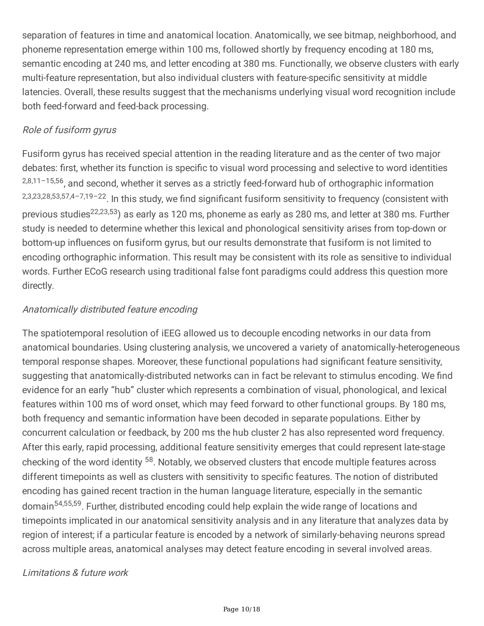separation of features in time and anatomical location. Anatomically, we see bitmap, neighborhood, and phoneme representation emerge within 100 ms, followed shortly by frequency encoding at 180 ms, semantic encoding at 240 ms, and letter encoding at 380 ms. Functionally, we observe clusters with early multi-feature representation, but also individual clusters with feature-specific sensitivity at middle latencies. Overall, these results suggest that the mechanisms underlying visual word recognition include both feed-forward and feed-back processing.

## Role of fusiform gyrus

Fusiform gyrus has received special attention in the reading literature and as the center of two major debates: first, whether its function is specific to visual word processing and selective to word identities 2,8,11-15,56, and second, whether it serves as a strictly feed-forward hub of orthographic information 2,3,23,28,53,57,4-7,19-22. In this study, we find significant fusiform sensitivity to frequency (consistent with previous studies<sup>22,23,53</sup>) as early as 120 ms, phoneme as early as 280 ms, and letter at 380 ms. Further study is needed to determine whether this lexical and phonological sensitivity arises from top-down or bottom-up influences on fusiform gyrus, but our results demonstrate that fusiform is not limited to encoding orthographic information. This result may be consistent with its role as sensitive to individual words. Further ECoG research using traditional false font paradigms could address this question more directly.

## Anatomically distributed feature encoding

The spatiotemporal resolution of iEEG allowed us to decouple encoding networks in our data from anatomical boundaries. Using clustering analysis, we uncovered a variety of anatomically-heterogeneous temporal response shapes. Moreover, these functional populations had significant feature sensitivity, suggesting that anatomically-distributed networks can in fact be relevant to stimulus encoding. We find evidence for an early "hub" cluster which represents a combination of visual, phonological, and lexical features within 100 ms of word onset, which may feed forward to other functional groups. By 180 ms, both frequency and semantic information have been decoded in separate populations. Either by concurrent calculation or feedback, by 200 ms the hub cluster 2 has also represented word frequency. After this early, rapid processing, additional feature sensitivity emerges that could represent late-stage checking of the word identity <sup>58</sup>. Notably, we observed clusters that encode multiple features across different timepoints as well as clusters with sensitivity to specific features. The notion of distributed encoding has gained recent traction in the human language literature, especially in the semantic domain<sup>54,55,59</sup>. Further, distributed encoding could help explain the wide range of locations and timepoints implicated in our anatomical sensitivity analysis and in any literature that analyzes data by region of interest; if a particular feature is encoded by a network of similarly-behaving neurons spread across multiple areas, anatomical analyses may detect feature encoding in several involved areas.

### Limitations & future work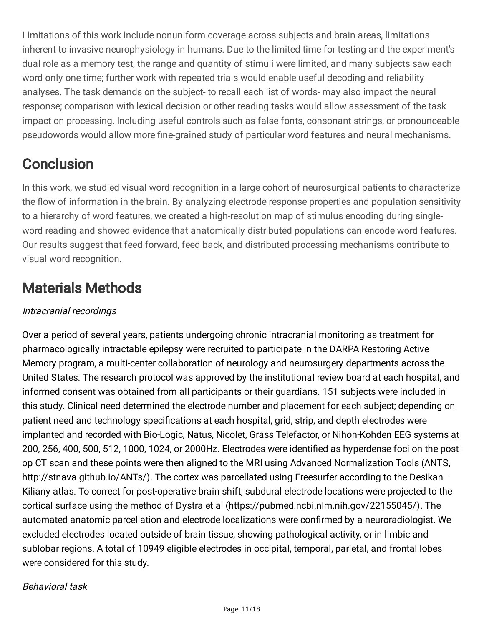Limitations of this work include nonuniform coverage across subjects and brain areas, limitations inherent to invasive neurophysiology in humans. Due to the limited time for testing and the experiment's dual role as a memory test, the range and quantity of stimuli were limited, and many subjects saw each word only one time; further work with repeated trials would enable useful decoding and reliability analyses. The task demands on the subject- to recall each list of words- may also impact the neural response; comparison with lexical decision or other reading tasks would allow assessment of the task impact on processing. Including useful controls such as false fonts, consonant strings, or pronounceable pseudowords would allow more fine-grained study of particular word features and neural mechanisms.

# **Conclusion**

In this work, we studied visual word recognition in a large cohort of neurosurgical patients to characterize the flow of information in the brain. By analyzing electrode response properties and population sensitivity to a hierarchy of word features, we created a high-resolution map of stimulus encoding during singleword reading and showed evidence that anatomically distributed populations can encode word features. Our results suggest that feed-forward, feed-back, and distributed processing mechanisms contribute to visual word recognition.

# Materials Methods

# Intracranial recordings

Over a period of several years, patients undergoing chronic intracranial monitoring as treatment for pharmacologically intractable epilepsy were recruited to participate in the DARPA Restoring Active Memory program, a multi-center collaboration of neurology and neurosurgery departments across the United States. The research protocol was approved by the institutional review board at each hospital, and informed consent was obtained from all participants or their guardians. 151 subjects were included in this study. Clinical need determined the electrode number and placement for each subject; depending on patient need and technology specifications at each hospital, grid, strip, and depth electrodes were implanted and recorded with Bio-Logic, Natus, Nicolet, Grass Telefactor, or Nihon-Kohden EEG systems at 200, 256, 400, 500, 512, 1000, 1024, or 2000Hz. Electrodes were identified as hyperdense foci on the postop CT scan and these points were then aligned to the MRI using Advanced Normalization Tools (ANTS, http://stnava.github.io/ANTs/). The cortex was parcellated using Freesurfer according to the Desikan-Kiliany atlas. To correct for post-operative brain shift, subdural electrode locations were projected to the cortical surface using the method of Dystra et al (https://pubmed.ncbi.nlm.nih.gov/22155045/). The automated anatomic parcellation and electrode localizations were confirmed by a neuroradiologist. We excluded electrodes located outside of brain tissue, showing pathological activity, or in limbic and sublobar regions. A total of 10949 eligible electrodes in occipital, temporal, parietal, and frontal lobes were considered for this study.

### Behavioral task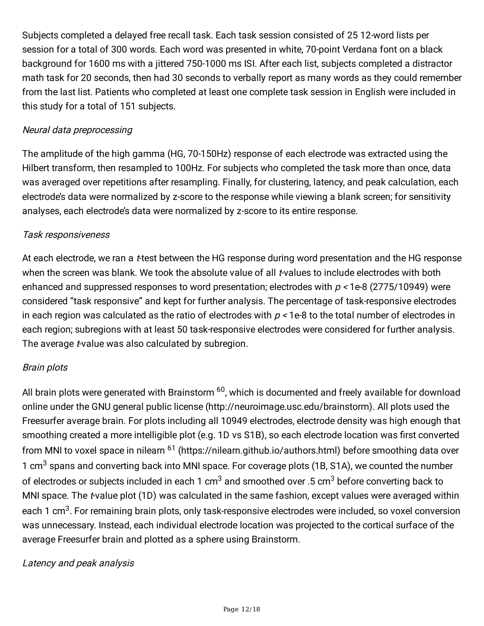Subjects completed a delayed free recall task. Each task session consisted of 25 12-word lists per session for a total of 300 words. Each word was presented in white, 70-point Verdana font on a black background for 1600 ms with a jittered 750-1000 ms ISI. After each list, subjects completed a distractor math task for 20 seconds, then had 30 seconds to verbally report as many words as they could remember from the last list. Patients who completed at least one complete task session in English were included in this study for a total of 151 subjects.

### Neural data preprocessing

The amplitude of the high gamma (HG, 70-150Hz) response of each electrode was extracted using the Hilbert transform, then resampled to 100Hz. For subjects who completed the task more than once, data was averaged over repetitions after resampling. Finally, for clustering, latency, and peak calculation, each electrode's data were normalized by z-score to the response while viewing a blank screen; for sensitivity analyses, each electrode's data were normalized by z-score to its entire response.

#### Task responsiveness

At each electrode, we ran a *t*-test between the HG response during word presentation and the HG response when the screen was blank. We took the absolute value of all t-values to include electrodes with both enhanced and suppressed responses to word presentation; electrodes with  $p < 1$ e-8 (2775/10949) were considered "task responsive" and kept for further analysis. The percentage of task-responsive electrodes in each region was calculated as the ratio of electrodes with  $p < 1e-8$  to the total number of electrodes in each region; subregions with at least 50 task-responsive electrodes were considered for further analysis. The average *t*-value was also calculated by subregion.

#### Brain plots

All brain plots were generated with Brainstorm <sup>60</sup>, which is documented and freely available for download online under the GNU general public license [\(http://neuroimage.usc.edu/brainstorm](http://neuroimage.usc.edu/brainstorm)). All plots used the Freesurfer average brain. For plots including all 10949 electrodes, electrode density was high enough that smoothing created a more intelligible plot (e.g. 1D vs S1B), so each electrode location was first converted from MNI to voxel space in nilearn <sup>61</sup> [\(https://nilearn.github.io/authors.html\)](https://nilearn.github.io/authors.html) before smoothing data over 1 cm<sup>3</sup> spans and converting back into MNI space. For coverage plots (1B, S1A), we counted the number of electrodes or subjects included in each 1 cm<sup>3</sup> and smoothed over .5 cm<sup>3</sup> before converting back to MNI space. The *t*-value plot (1D) was calculated in the same fashion, except values were averaged within each 1 cm<sup>3</sup>. For remaining brain plots, only task-responsive electrodes were included, so voxel conversion was unnecessary. Instead, each individual electrode location was projected to the cortical surface of the average Freesurfer brain and plotted as a sphere using Brainstorm.

#### Latency and peak analysis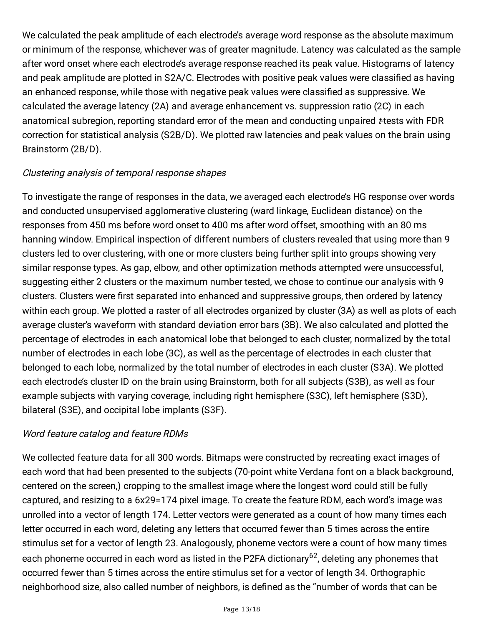We calculated the peak amplitude of each electrode's average word response as the absolute maximum or minimum of the response, whichever was of greater magnitude. Latency was calculated as the sample after word onset where each electrode's average response reached its peak value. Histograms of latency and peak amplitude are plotted in S2A/C. Electrodes with positive peak values were classified as having an enhanced response, while those with negative peak values were classified as suppressive. We calculated the average latency (2A) and average enhancement vs. suppression ratio (2C) in each anatomical subregion, reporting standard error of the mean and conducting unpaired t-tests with FDR correction for statistical analysis (S2B/D). We plotted raw latencies and peak values on the brain using Brainstorm (2B/D).

### Clustering analysis of temporal response shapes

To investigate the range of responses in the data, we averaged each electrode's HG response over words and conducted unsupervised agglomerative clustering (ward linkage, Euclidean distance) on the responses from 450 ms before word onset to 400 ms after word offset, smoothing with an 80 ms hanning window. Empirical inspection of different numbers of clusters revealed that using more than 9 clusters led to over clustering, with one or more clusters being further split into groups showing very similar response types. As gap, elbow, and other optimization methods attempted were unsuccessful, suggesting either 2 clusters or the maximum number tested, we chose to continue our analysis with 9 clusters. Clusters were first separated into enhanced and suppressive groups, then ordered by latency within each group. We plotted a raster of all electrodes organized by cluster (3A) as well as plots of each average cluster's waveform with standard deviation error bars (3B). We also calculated and plotted the percentage of electrodes in each anatomical lobe that belonged to each cluster, normalized by the total number of electrodes in each lobe (3C), as well as the percentage of electrodes in each cluster that belonged to each lobe, normalized by the total number of electrodes in each cluster (S3A). We plotted each electrode's cluster ID on the brain using Brainstorm, both for all subjects (S3B), as well as four example subjects with varying coverage, including right hemisphere (S3C), left hemisphere (S3D), bilateral (S3E), and occipital lobe implants (S3F).

### Word feature catalog and feature RDMs

We collected feature data for all 300 words. Bitmaps were constructed by recreating exact images of each word that had been presented to the subjects (70-point white Verdana font on a black background, centered on the screen,) cropping to the smallest image where the longest word could still be fully captured, and resizing to a 6x29=174 pixel image. To create the feature RDM, each word's image was unrolled into a vector of length 174. Letter vectors were generated as a count of how many times each letter occurred in each word, deleting any letters that occurred fewer than 5 times across the entire stimulus set for a vector of length 23. Analogously, phoneme vectors were a count of how many times each phoneme occurred in each word as listed in the P2FA dictionary<sup>62</sup>, deleting any phonemes that occurred fewer than 5 times across the entire stimulus set for a vector of length 34. Orthographic neighborhood size, also called number of neighbors, is defined as the "number of words that can be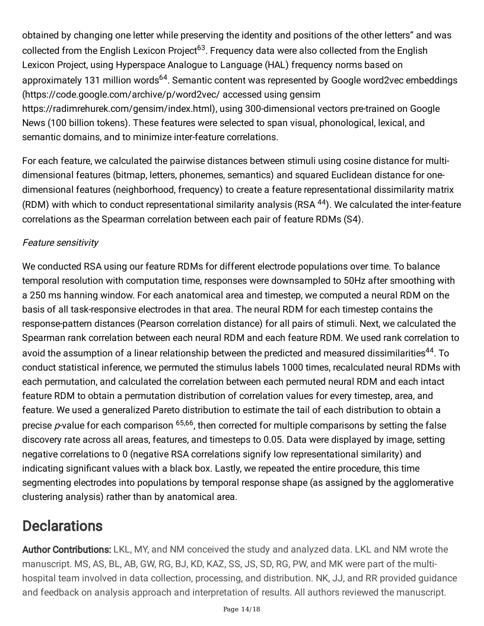obtained by changing one letter while preserving the identity and positions of the other letters" and was collected from the English Lexicon Project<sup>63</sup>. Frequency data were also collected from the English Lexicon Project, using Hyperspace Analogue to Language (HAL) frequency norms based on approximately 131 million words<sup>64</sup>. Semantic content was represented by Google word2vec embeddings [\(https://code.google.com/archive/p/word2vec/](https://code.google.com/archive/p/word2vec/) accessed using gensim <https://radimrehurek.com/gensim/index.html>), using 300-dimensional vectors pre-trained on Google News (100 billion tokens). These features were selected to span visual, phonological, lexical, and semantic domains, and to minimize inter-feature correlations.

For each feature, we calculated the pairwise distances between stimuli using cosine distance for multidimensional features (bitmap, letters, phonemes, semantics) and squared Euclidean distance for onedimensional features (neighborhood, frequency) to create a feature representational dissimilarity matrix (RDM) with which to conduct representational similarity analysis (RSA <sup>44</sup>). We calculated the inter-feature correlations as the Spearman correlation between each pair of feature RDMs (S4).

# Feature sensitivity

We conducted RSA using our feature RDMs for different electrode populations over time. To balance temporal resolution with computation time, responses were downsampled to 50Hz after smoothing with a 250 ms hanning window. For each anatomical area and timestep, we computed a neural RDM on the basis of all task-responsive electrodes in that area. The neural RDM for each timestep contains the response-pattern distances (Pearson correlation distance) for all pairs of stimuli. Next, we calculated the Spearman rank correlation between each neural RDM and each feature RDM. We used rank correlation to avoid the assumption of a linear relationship between the predicted and measured dissimilarities<sup>44</sup>. To conduct statistical inference, we permuted the stimulus labels 1000 times, recalculated neural RDMs with each permutation, and calculated the correlation between each permuted neural RDM and each intact feature RDM to obtain a permutation distribution of correlation values for every timestep, area, and feature. We used a generalized Pareto distribution to estimate the tail of each distribution to obtain a precise *p*-value for each comparison  $^{65,66}$ , then corrected for multiple comparisons by setting the false discovery rate across all areas, features, and timesteps to 0.05. Data were displayed by image, setting negative correlations to 0 (negative RSA correlations signify low representational similarity) and indicating significant values with a black box. Lastly, we repeated the entire procedure, this time segmenting electrodes into populations by temporal response shape (as assigned by the agglomerative clustering analysis) rather than by anatomical area.

# **Declarations**

Author Contributions: LKL, MY, and NM conceived the study and analyzed data. LKL and NM wrote the manuscript. MS, AS, BL, AB, GW, RG, BJ, KD, KAZ, SS, JS, SD, RG, PW, and MK were part of the multihospital team involved in data collection, processing, and distribution. NK, JJ, and RR provided guidance and feedback on analysis approach and interpretation of results. All authors reviewed the manuscript.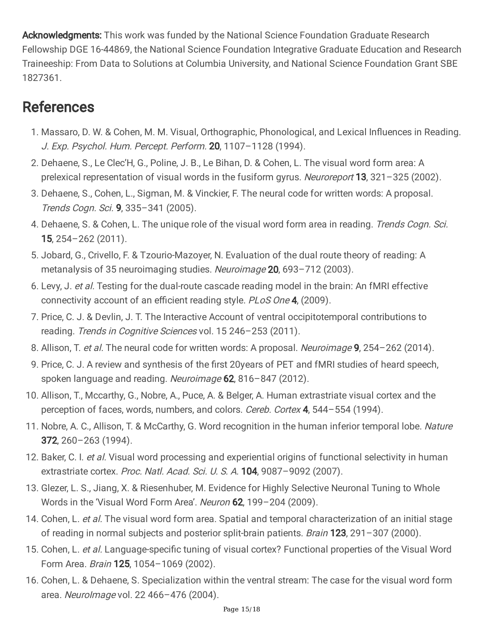Acknowledgments: This work was funded by the National Science Foundation Graduate Research Fellowship DGE 16-44869, the National Science Foundation Integrative Graduate Education and Research Traineeship: From Data to Solutions at Columbia University, and National Science Foundation Grant SBE 1827361.

# References

- 1. Massaro, D. W. & Cohen, M. M. Visual, Orthographic, Phonological, and Lexical Influences in Reading. J. Exp. Psychol. Hum. Percept. Perform. 20, 1107–1128 (1994).
- 2. Dehaene, S., Le Clec'H, G., Poline, J. B., Le Bihan, D. & Cohen, L. The visual word form area: A prelexical representation of visual words in the fusiform gyrus. Neuroreport 13, 321-325 (2002).
- 3. Dehaene, S., Cohen, L., Sigman, M. & Vinckier, F. The neural code for written words: A proposal. Trends Cogn. Sci. 9, 335–341 (2005).
- 4. Dehaene, S. & Cohen, L. The unique role of the visual word form area in reading. Trends Cogn. Sci. 15, 254–262 (2011).
- 5. Jobard, G., Crivello, F. & Tzourio-Mazoyer, N. Evaluation of the dual route theory of reading: A metanalysis of 35 neuroimaging studies. Neuroimage 20, 693-712 (2003).
- 6. Levy, J. et al. Testing for the dual-route cascade reading model in the brain: An fMRI effective connectivity account of an efficient reading style. PLoS One 4, (2009).
- 7. Price, C. J. & Devlin, J. T. The Interactive Account of ventral occipitotemporal contributions to reading. Trends in Cognitive Sciences vol. 15 246-253 (2011).
- 8. Allison, T. et al. The neural code for written words: A proposal. Neuroimage 9, 254-262 (2014).
- 9. Price, C. J. A review and synthesis of the first 20years of PET and fMRI studies of heard speech, spoken language and reading. Neuroimage 62, 816-847 (2012).
- 10. Allison, T., Mccarthy, G., Nobre, A., Puce, A. & Belger, A. Human extrastriate visual cortex and the perception of faces, words, numbers, and colors. Cereb. Cortex 4, 544-554 (1994).
- 11. Nobre, A. C., Allison, T. & McCarthy, G. Word recognition in the human inferior temporal lobe. Nature 372, 260–263 (1994).
- 12. Baker, C. I. et al. Visual word processing and experiential origins of functional selectivity in human extrastriate cortex. Proc. Natl. Acad. Sci. U. S. A. 104, 9087-9092 (2007).
- 13. Glezer, L. S., Jiang, X. & Riesenhuber, M. Evidence for Highly Selective Neuronal Tuning to Whole Words in the 'Visual Word Form Area'. Neuron 62, 199-204 (2009).
- 14. Cohen, L. et al. The visual word form area. Spatial and temporal characterization of an initial stage of reading in normal subjects and posterior split-brain patients. *Brain* **123**, 291-307 (2000).
- 15. Cohen, L. et al. Language-specific tuning of visual cortex? Functional properties of the Visual Word Form Area. Brain 125, 1054-1069 (2002).
- 16. Cohen, L. & Dehaene, S. Specialization within the ventral stream: The case for the visual word form area. NeuroImage vol. 22 466–476 (2004).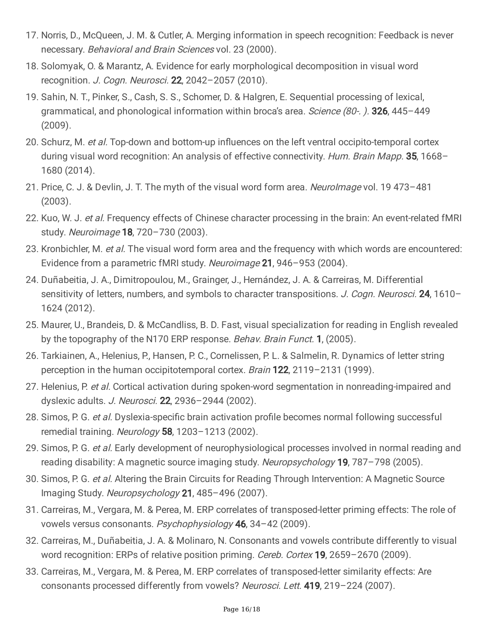- 17. Norris, D., McQueen, J. M. & Cutler, A. Merging information in speech recognition: Feedback is never necessary. Behavioral and Brain Sciences vol. 23 (2000).
- 18. Solomyak, O. & Marantz, A. Evidence for early morphological decomposition in visual word recognition. J. Cogn. Neurosci. 22, 2042-2057 (2010).
- 19. Sahin, N. T., Pinker, S., Cash, S. S., Schomer, D. & Halgren, E. Sequential processing of lexical, grammatical, and phonological information within broca's area. Science (80-.). 326, 445-449 (2009).
- 20. Schurz, M. et al. Top-down and bottom-up influences on the left ventral occipito-temporal cortex during visual word recognition: An analysis of effective connectivity. Hum. Brain Mapp. 35, 1668-1680 (2014).
- 21. Price, C. J. & Devlin, J. T. The myth of the visual word form area. Neurolmage vol. 19 473-481 (2003).
- 22. Kuo, W. J. et al. Frequency effects of Chinese character processing in the brain: An event-related fMRI study. Neuroimage 18, 720-730 (2003).
- 23. Kronbichler, M. et al. The visual word form area and the frequency with which words are encountered: Evidence from a parametric fMRI study. Neuroimage 21, 946-953 (2004).
- 24. Duñabeitia, J. A., Dimitropoulou, M., Grainger, J., Hernández, J. A. & Carreiras, M. Differential sensitivity of letters, numbers, and symbols to character transpositions. J. Cogn. Neurosci. 24, 1610-1624 (2012).
- 25. Maurer, U., Brandeis, D. & McCandliss, B. D. Fast, visual specialization for reading in English revealed by the topography of the N170 ERP response. Behav. Brain Funct. 1, (2005).
- 26. Tarkiainen, A., Helenius, P., Hansen, P. C., Cornelissen, P. L. & Salmelin, R. Dynamics of letter string perception in the human occipitotemporal cortex. Brain 122, 2119–2131 (1999).
- 27. Helenius, P. et al. Cortical activation during spoken-word segmentation in nonreading-impaired and dyslexic adults. J. Neurosci. **22**, 2936-2944 (2002).
- 28. Simos, P. G. et al. Dyslexia-specific brain activation profile becomes normal following successful remedial training. Neurology 58, 1203-1213 (2002).
- 29. Simos, P. G. et al. Early development of neurophysiological processes involved in normal reading and reading disability: A magnetic source imaging study. Neuropsychology 19, 787-798 (2005).
- 30. Simos, P. G. et al. Altering the Brain Circuits for Reading Through Intervention: A Magnetic Source Imaging Study. Neuropsychology 21, 485–496 (2007).
- 31. Carreiras, M., Vergara, M. & Perea, M. ERP correlates of transposed-letter priming effects: The role of vowels versus consonants. Psychophysiology 46, 34-42 (2009).
- 32. Carreiras, M., Duñabeitia, J. A. & Molinaro, N. Consonants and vowels contribute differently to visual word recognition: ERPs of relative position priming. Cereb. Cortex **19**, 2659–2670 (2009).
- 33. Carreiras, M., Vergara, M. & Perea, M. ERP correlates of transposed-letter similarity effects: Are consonants processed differently from vowels? Neurosci. Lett. 419, 219-224 (2007).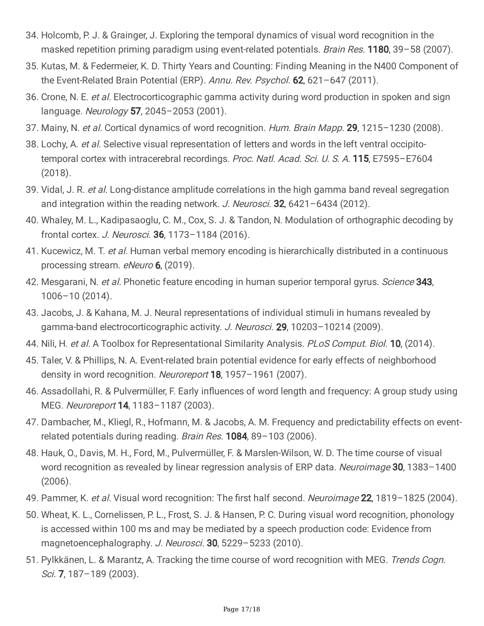- 34. Holcomb, P. J. & Grainger, J. Exploring the temporal dynamics of visual word recognition in the masked repetition priming paradigm using event-related potentials. Brain Res. 1180, 39-58 (2007).
- 35. Kutas, M. & Federmeier, K. D. Thirty Years and Counting: Finding Meaning in the N400 Component of the Event-Related Brain Potential (ERP). Annu. Rev. Psychol. 62, 621-647 (2011).
- 36. Crone, N. E. et al. Electrocorticographic gamma activity during word production in spoken and sign language. Neurology 57, 2045–2053 (2001).
- 37. Mainy, N. et al. Cortical dynamics of word recognition. Hum. Brain Mapp. 29, 1215-1230 (2008).
- 38. Lochy, A. et al. Selective visual representation of letters and words in the left ventral occipitotemporal cortex with intracerebral recordings. Proc. Natl. Acad. Sci. U. S. A. 115, E7595-E7604 (2018).
- 39. Vidal, J. R. et al. Long-distance amplitude correlations in the high gamma band reveal segregation and integration within the reading network. J. Neurosci. **32**, 6421–6434 (2012).
- 40. Whaley, M. L., Kadipasaoglu, C. M., Cox, S. J. & Tandon, N. Modulation of orthographic decoding by frontal cortex. J. Neurosci. 36, 1173–1184 (2016).
- 41. Kucewicz, M. T. et al. Human verbal memory encoding is hierarchically distributed in a continuous processing stream. eNeuro 6, (2019).
- 42. Mesgarani, N. et al. Phonetic feature encoding in human superior temporal gyrus. Science 343, 1006–10 (2014).
- 43. Jacobs, J. & Kahana, M. J. Neural representations of individual stimuli in humans revealed by gamma-band electrocorticographic activity. J. Neurosci. 29, 10203-10214 (2009).
- 44. Nili, H. et al. A Toolbox for Representational Similarity Analysis. PLoS Comput. Biol. 10, (2014).
- 45. Taler, V. & Phillips, N. A. Event-related brain potential evidence for early effects of neighborhood density in word recognition. Neuroreport **18**, 1957–1961 (2007).
- 46. Assadollahi, R. & Pulvermüller, F. Early influences of word length and frequency: A group study using MEG. Neuroreport **14**, 1183-1187 (2003).
- 47. Dambacher, M., Kliegl, R., Hofmann, M. & Jacobs, A. M. Frequency and predictability effects on eventrelated potentials during reading. Brain Res. 1084, 89-103 (2006).
- 48. Hauk, O., Davis, M. H., Ford, M., Pulvermüller, F. & Marslen-Wilson, W. D. The time course of visual word recognition as revealed by linear regression analysis of ERP data. Neuroimage 30, 1383-1400 (2006).
- 49. Pammer, K. et al. Visual word recognition: The first half second. Neuroimage 22, 1819-1825 (2004).
- 50. Wheat, K. L., Cornelissen, P. L., Frost, S. J. & Hansen, P. C. During visual word recognition, phonology is accessed within 100 ms and may be mediated by a speech production code: Evidence from magnetoencephalography. J. Neurosci. 30, 5229-5233 (2010).
- 51. Pylkkänen, L. & Marantz, A. Tracking the time course of word recognition with MEG. Trends Cogn. Sci. 7, 187–189 (2003).